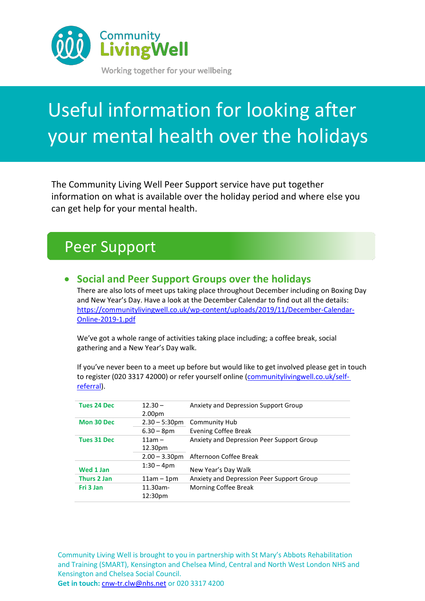

# Useful information for looking after your mental health over the holidays

The Community Living Well Peer Support service have put together information on what is available over the holiday period and where else you can get help for your mental health.

### Peer Support

#### • **Social and Peer Support Groups over the holidays**

There are also lots of meet ups taking place throughout December including on Boxing Day and New Year's Day. Have a look at the December Calendar to find out all the details: [https://communitylivingwell.co.uk/wp-content/uploads/2019/11/December-Calendar-](https://communitylivingwell.co.uk/wp-content/uploads/2019/11/December-Calendar-Online-2019-1.pdf)[Online-2019-1.pdf](https://communitylivingwell.co.uk/wp-content/uploads/2019/11/December-Calendar-Online-2019-1.pdf)

We've got a whole range of activities taking place including; a coffee break, social gathering and a New Year's Day walk.

If you've never been to a meet up before but would like to get involved please get in touch to register (020 3317 42000) or refer yourself online [\(communitylivingwell.co.uk/self](https://communitylivingwell.co.uk/self-referral-form-mental-health/)[referral\)](https://communitylivingwell.co.uk/self-referral-form-mental-health/).

| <b>Tues 24 Dec</b> | $12.30 -$          | Anxiety and Depression Support Group      |
|--------------------|--------------------|-------------------------------------------|
|                    | 2.00 <sub>pm</sub> |                                           |
| Mon 30 Dec         | $2.30 - 5:30$ pm   | Community Hub                             |
|                    | $6.30 - 8pm$       | <b>Evening Coffee Break</b>               |
| <b>Tues 31 Dec</b> | $11am -$           | Anxiety and Depression Peer Support Group |
|                    | 12.30pm            |                                           |
|                    | $2.00 - 3.30$ pm   | Afternoon Coffee Break                    |
| Wed 1 Jan          | $1:30 - 4$ pm      | New Year's Day Walk                       |
| <b>Thurs 2 Jan</b> | $11am - 1pm$       | Anxiety and Depression Peer Support Group |
| Fri 3 Jan          | $11.30$ am-        | Morning Coffee Break                      |
|                    | 12:30pm            |                                           |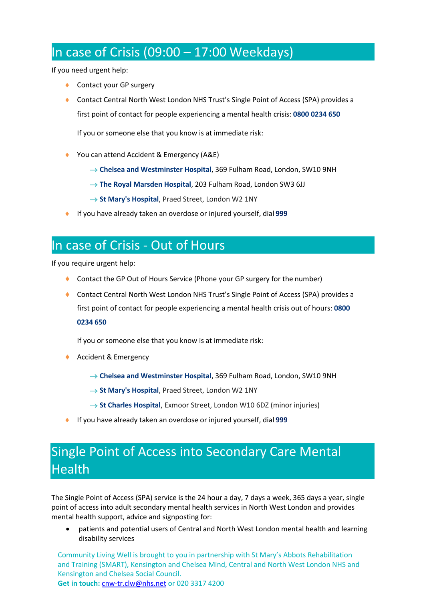#### In case of Crisis (09:00  $-$  17:00 Weekdays)

If you need urgent help:

- ◆ Contact your GP surgery
- ◆ Contact Central North West London NHS Trust's Single Point of Access (SPA) provides a first point of contact for people experiencing a mental health crisis: **0800 0234 650**

If you or someone else that you know is at immediate risk:

- ◆ You can attend Accident & Emergency (A&E)
	- → **Chelsea and Westminster Hospital**, 369 Fulham Road, London, SW10 9NH
	- → **The Royal Marsden Hospital**, 203 Fulham Road, London SW3 6JJ
	- → St Mary's Hospital, Praed Street, London W2 1NY
- If you have already taken an overdose or injured yourself, dial **999**

#### In case of Crisis - Out of Hours

If you require urgent help:

- ◆ Contact the GP Out of Hours Service (Phone your GP surgery for the number)
- ◆ Contact Central North West London NHS Trust's Single Point of Access (SPA) provides a first point of contact for people experiencing a mental health crisis out of hours: **0800 0234 650**

If you or someone else that you know is at immediate risk:

- ◆ Accident & Emergency
	- → **Chelsea and Westminster Hospital**, 369 Fulham Road, London, SW10 9NH
	- → **St Mary's Hospital**, Praed Street, London W2 1NY
	- → **St Charles Hospital**, Exmoor Street, London W10 6DZ (minor injuries)
- If you have already taken an overdose or injured yourself, dial **999**

#### Single Point of Access into Secondary Care Mental Health

The Single Point of Access (SPA) service is the 24 hour a day, 7 days a week, 365 days a year, single point of access into adult secondary mental health services in North West London and provides mental health support, advice and signposting for:

• patients and potential users of Central and North West London mental health and learning disability services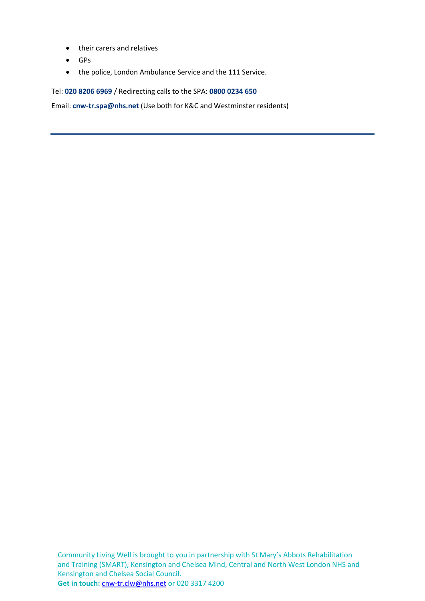- their carers and relatives
- GPs
- the police, London Ambulance Service and the 111 Service.

Tel: **020 8206 6969** / Redirecting calls to the SPA: **0800 0234 650**

Email: **[cnw-tr.spa@nhs.net](mailto:cnw-tr.spa@nhs.net)** (Use both for K&C and Westminster residents)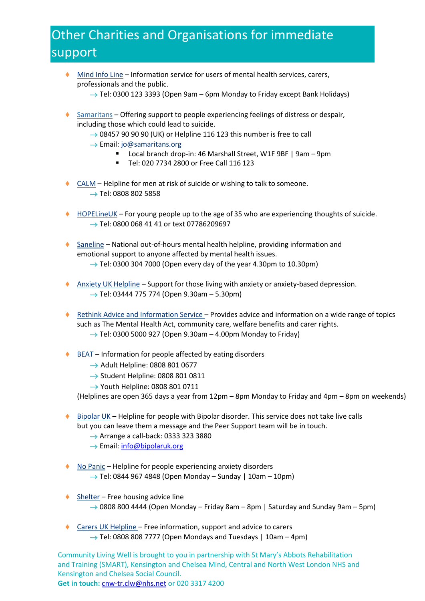### Other Charities and Organisations for immediate support

- [Mind Info Line](http://www.mind.org.uk/information-support/helplines/) Information service for users of mental health services, carers, professionals and the public.
	- $\rightarrow$  Tel: 0300 123 3393 (Open 9am 6pm Monday to Friday except Bank Holidays)
- [Samaritans](http://www.samaritans.org/) Offering support to people experiencing feelings of distress or despair, including those which could lead to suicide.
	- $\rightarrow$  08457 90 90 90 (UK) or Helpline 116 123 this number is free to call
	- → Email[: jo@samaritans.org](mailto:jo@samaritans.org)
		- Local branch drop-in: 46 Marshall Street, W1F 9BF | 9am 9pm
		- Tel: 020 7734 2800 or Free Call 116 123
- ◆ [CALM](https://www.thecalmzone.net/) Helpline for men at risk of suicide or wishing to talk to someone.  $\rightarrow$  Tel: 0808 802 5858
- ♦ [HOPELineUK](https://www.papyrus-uk.org/help-advice/about-hopelineuk) For young people up to the age of 35 who are experiencing thoughts of suicide. → Tel: 0800 068 41 41 or text 07786209697
- ◆ [Saneline](http://www.sane.org.uk/what_we_do/support/helpline) National out-of-hours mental health helpline, providing information and emotional support to anyone affected by mental health issues.  $\rightarrow$  Tel: 0300 304 7000 (Open every day of the year 4.30pm to 10.30pm)
- [Anxiety UK](https://www.anxietyuk.org.uk/) Helpline Support for those living with anxiety or anxiety-based depression.  $\rightarrow$  Tel: 03444 775 774 (Open 9.30am – 5.30pm)
- ♦ [Rethink Advice and Information](https://www.rethink.org/about-us/commissioning-us/helplines-and-advice) Service Provides advice and information on a wide range of topics such as The Mental Health Act, community care, welfare benefits and carer rights.  $\rightarrow$  Tel: 0300 5000 927 (Open 9.30am – 4.00pm Monday to Friday)
- ♦ [BEAT](https://www.b-eat.co.uk/) Information for people affected by eating disorders
	- $\rightarrow$  Adult Helpline: 0808 801 0677
	- $\rightarrow$  Student Helpline: 0808 801 0811
	- $\rightarrow$  Youth Helpline: 0808 801 0711

(Helplines are open 365 days a year from 12pm – 8pm Monday to Friday and 4pm – 8pm on weekends)

- ♦ [Bipolar UK](https://www.bipolaruk.org/support-line) Helpline for people with Bipolar disorder. This service does not take live calls but you can leave them a message and the Peer Support team will be in touch.
	- $\rightarrow$  Arrange a call-back: 0333 323 3880
	- $\rightarrow$  Email[: info@bipolaruk.org](mailto:info@bipolaruk.org)
- [No Panic](http://www.nopanic.org.uk/) Helpline for people experiencing anxiety disorders  $\rightarrow$  Tel: 0844 967 4848 (Open Monday – Sunday | 10am – 10pm)
- $\bullet$  [Shelter](https://england.shelter.org.uk/get_help) Free housing advice line  $\rightarrow$  0808 800 4444 (Open Monday – Friday 8am – 8pm | Saturday and Sunday 9am – 5pm)
- [Carers UK Helpline](http://www.carersuk.org/help-and-advice) Free information, support and advice to carers  $\rightarrow$  Tel: 0808 808 7777 (Open Mondays and Tuesdays | 10am – 4pm)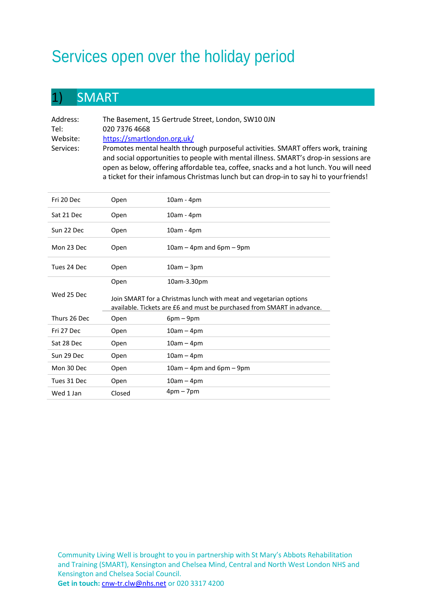# Services open over the holiday period

#### 1) SMART

| Address:  | The Basement, 15 Gertrude Street, London, SW10 OJN                                                                                                                                                                                                                 |
|-----------|--------------------------------------------------------------------------------------------------------------------------------------------------------------------------------------------------------------------------------------------------------------------|
| Tel:      | 020 7376 4668                                                                                                                                                                                                                                                      |
| Website:  | https://smartlondon.org.uk/                                                                                                                                                                                                                                        |
| Services: | Promotes mental health through purposeful activities. SMART offers work, training<br>and social opportunities to people with mental illness. SMART's drop-in sessions are<br>open as below, offering affordable tea, coffee, snacks and a hot lunch. You will need |
|           | a ticket for their infamous Christmas lunch but can drop-in to say hi to your friends!                                                                                                                                                                             |

| Fri 20 Dec   | Open                                                                                                                                        | 10am - 4pm                  |
|--------------|---------------------------------------------------------------------------------------------------------------------------------------------|-----------------------------|
| Sat 21 Dec   | Open                                                                                                                                        | 10am - 4pm                  |
| Sun 22 Dec   | Open                                                                                                                                        | 10am - 4pm                  |
| Mon 23 Dec   | Open                                                                                                                                        | $10$ am – 4pm and 6pm – 9pm |
| Tues 24 Dec  | Open                                                                                                                                        | $10am - 3pm$                |
|              | Open                                                                                                                                        | 10am-3.30pm                 |
| Wed 25 Dec   | Join SMART for a Christmas lunch with meat and vegetarian options<br>available. Tickets are £6 and must be purchased from SMART in advance. |                             |
| Thurs 26 Dec | Open                                                                                                                                        | $6pm-9pm$                   |
| Fri 27 Dec   | Open                                                                                                                                        | $10am - 4pm$                |
| Sat 28 Dec   | Open                                                                                                                                        | $10am - 4pm$                |
| Sun 29 Dec   | Open                                                                                                                                        | 10am – 4pm                  |
| Mon 30 Dec   | Open                                                                                                                                        | $10$ am – 4pm and 6pm – 9pm |
| Tues 31 Dec  | Open                                                                                                                                        | $10am - 4pm$                |
| Wed 1 Jan    | Closed                                                                                                                                      | $4pm-7pm$                   |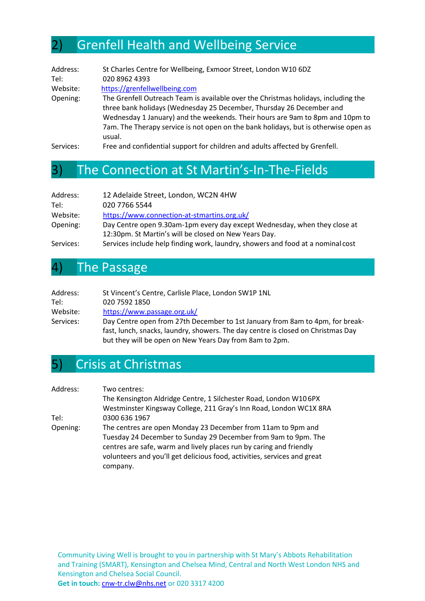#### 2) Grenfell Health and Wellbeing Service

| Address:  | St Charles Centre for Wellbeing, Exmoor Street, London W10 6DZ                                                                                                                                                                                                                                                                               |
|-----------|----------------------------------------------------------------------------------------------------------------------------------------------------------------------------------------------------------------------------------------------------------------------------------------------------------------------------------------------|
| Tel:      | 020 8962 4393                                                                                                                                                                                                                                                                                                                                |
| Website:  | https://grenfellwellbeing.com                                                                                                                                                                                                                                                                                                                |
| Opening:  | The Grenfell Outreach Team is available over the Christmas holidays, including the<br>three bank holidays (Wednesday 25 December, Thursday 26 December and<br>Wednesday 1 January) and the weekends. Their hours are 9am to 8pm and 10pm to<br>7am. The Therapy service is not open on the bank holidays, but is otherwise open as<br>usual. |
| Services: | Free and confidential support for children and adults affected by Grenfell.                                                                                                                                                                                                                                                                  |

#### 3) The Connection at St Martin's-In-The-Fields

| Address:  | 12 Adelaide Street, London, WC2N 4HW                                            |
|-----------|---------------------------------------------------------------------------------|
| Tel:      | 020 7766 5544                                                                   |
| Website:  | https://www.connection-at-stmartins.org.uk/                                     |
| Opening:  | Day Centre open 9.30am-1pm every day except Wednesday, when they close at       |
|           | 12:30pm. St Martin's will be closed on New Years Day.                           |
| Services: | Services include help finding work, laundry, showers and food at a nominal cost |

#### 4) The Passage

| Address:  | St Vincent's Centre, Carlisle Place, London SW1P 1NL                             |
|-----------|----------------------------------------------------------------------------------|
| Tel:      | 020 7592 1850                                                                    |
| Website:  | https://www.passage.org.uk/                                                      |
| Services: | Day Centre open from 27th December to 1st January from 8am to 4pm, for break-    |
|           | fast, lunch, snacks, laundry, showers. The day centre is closed on Christmas Day |
|           | but they will be open on New Years Day from 8am to 2pm.                          |

#### 5) Crisis at Christmas

| Address: | Two centres:                                                             |
|----------|--------------------------------------------------------------------------|
|          | The Kensington Aldridge Centre, 1 Silchester Road, London W106PX         |
|          | Westminster Kingsway College, 211 Gray's Inn Road, London WC1X 8RA       |
| Tel:     | 0300 636 1967                                                            |
| Opening: | The centres are open Monday 23 December from 11am to 9pm and             |
|          | Tuesday 24 December to Sunday 29 December from 9am to 9pm. The           |
|          | centres are safe, warm and lively places run by caring and friendly      |
|          | volunteers and you'll get delicious food, activities, services and great |
|          | company.                                                                 |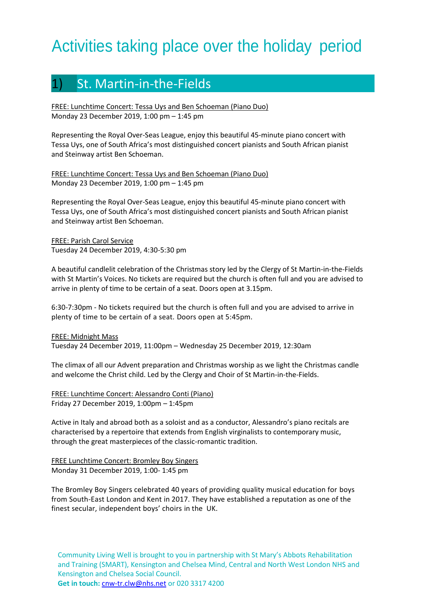## Activities taking place over the holiday period

#### 1) St. Martin-in-the-Fields

FREE: Lunchtime Concert: Tessa Uys and Ben Schoeman (Piano Duo) Monday 23 December 2019, 1:00 pm – 1:45 pm

Representing the Royal Over-Seas League, enjoy this beautiful 45-minute piano concert with Tessa Uys, one of South Africa's most distinguished concert pianists and South African pianist and Steinway artist Ben Schoeman.

FREE: Lunchtime Concert: Tessa Uys and Ben Schoeman (Piano Duo) Monday 23 December 2019, 1:00 pm – 1:45 pm

Representing the Royal Over-Seas League, enjoy this beautiful 45-minute piano concert with Tessa Uys, one of South Africa's most distinguished concert pianists and South African pianist and Steinway artist Ben Schoeman.

FREE: Parish Carol Service Tuesday 24 December 2019, 4:30-5:30 pm

A beautiful candlelit celebration of the Christmas story led by the Clergy of St Martin-in-the-Fields with St Martin's Voices. No tickets are required but the church is often full and you are advised to arrive in plenty of time to be certain of a seat. Doors open at 3.15pm.

6:30-7:30pm - No tickets required but the church is often full and you are advised to arrive in plenty of time to be certain of a seat. Doors open at 5:45pm.

FREE: Midnight Mass Tuesday 24 December 2019, 11:00pm – Wednesday 25 December 2019, 12:30am

The climax of all our Advent preparation and Christmas worship as we light the Christmas candle and welcome the Christ child. Led by the Clergy and Choir of St Martin-in-the-Fields.

FREE: Lunchtime Concert: Alessandro Conti (Piano) Friday 27 December 2019, 1:00pm – 1:45pm

Active in Italy and abroad both as a soloist and as a conductor, Alessandro's piano recitals are characterised by a repertoire that extends from English virginalists to contemporary music, through the great masterpieces of the classic-romantic tradition.

FREE Lunchtime Concert: Bromley Boy Singers Monday 31 December 2019, 1:00- 1:45 pm

The Bromley Boy Singers celebrated 40 years of providing quality musical education for boys from South-East London and Kent in 2017. They have established a reputation as one of the finest secular, independent boys' choirs in the UK.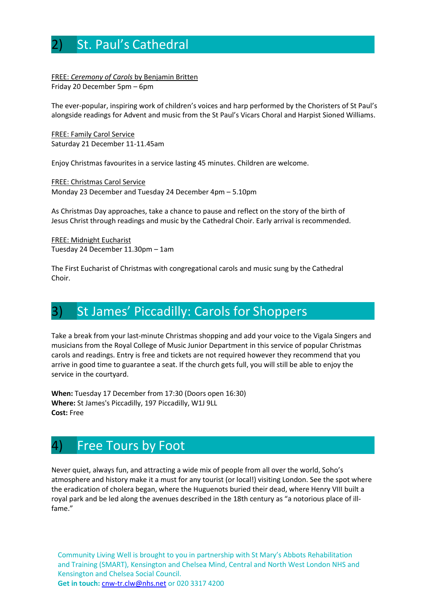#### **5t. Paul's Cathedral**

#### FREE: *Ceremony of Carols* by Benjamin Britten Friday 20 December 5pm – 6pm

The ever-popular, inspiring work of children's voices and harp performed by the Choristers of St Paul's alongside readings for Advent and music from the St Paul's Vicars Choral and Harpist Sioned Williams.

FREE: Family Carol Service Saturday 21 December 11-11.45am

Enjoy Christmas favourites in a service lasting 45 minutes. Children are welcome.

FREE: Christmas Carol Service Monday 23 December and Tuesday 24 December 4pm – 5.10pm

As Christmas Day approaches, take a chance to pause and reflect on the story of the birth of Jesus Christ through readings and music by the Cathedral Choir. Early arrival is recommended.

FREE: Midnight Eucharist Tuesday 24 December 11.30pm – 1am

The First Eucharist of Christmas with congregational carols and music sung by the Cathedral Choir.

#### St James' Piccadilly: Carols for Shoppers

Take a break from your last-minute Christmas shopping and add your voice to the Vigala Singers and musicians from the Royal College of Music Junior Department in this service of popular Christmas carols and readings. Entry is free and tickets are not required however they recommend that you arrive in good time to guarantee a seat. If the church gets full, you will still be able to enjoy the service in the courtyard.

**When:** Tuesday 17 December from 17:30 (Doors open 16:30) **Where:** St James's Piccadilly, 197 Piccadilly, W1J 9LL **Cost:** Free

#### 4) Free Tours by Foot

Never quiet, always fun, and attracting a wide mix of people from all over the world, Soho's atmosphere and history make it a must for any tourist (or local!) visiting London. See the spot where the eradication of cholera began, where the Huguenots buried their dead, where Henry VIII built a royal park and be led along the avenues described in the 18th century as "a notorious place of illfame."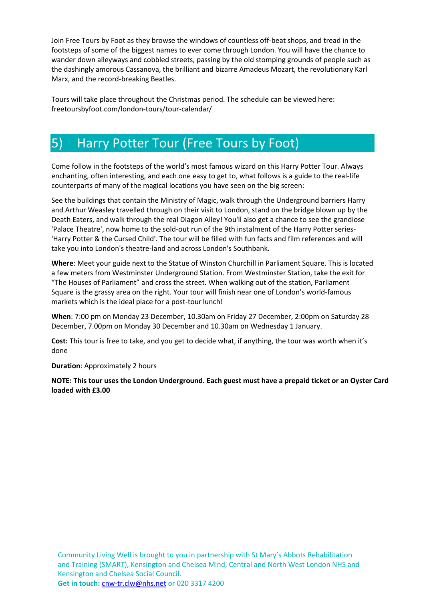Join Free Tours by Foot as they browse the windows of countless off-beat shops, and tread in the footsteps of some of the biggest names to ever come through London. You will have the chance to wander down alleyways and cobbled streets, passing by the old stomping grounds of people such as the dashingly amorous Cassanova, the brilliant and bizarre Amadeus Mozart, the revolutionary Karl Marx, and the record-breaking Beatles.

Tours will take place throughout the Christmas period. The schedule can be viewed here: freetoursbyfoot.com/london-tours/tour-calendar/

#### 5) Harry Potter Tour (Free Tours by Foot)

Come follow in the footsteps of the world's most famous wizard on this Harry Potter Tour. Always enchanting, often interesting, and each one easy to get to, what follows is a guide to the real-life counterparts of many of the magical locations you have seen on the big screen:

See the buildings that contain the Ministry of Magic, walk through the Underground barriers Harry and Arthur Weasley travelled through on their visit to London, stand on the bridge blown up by the Death Eaters, and walk through the real Diagon Alley! You'll also get a chance to see the grandiose 'Palace Theatre', now home to the sold-out run of the 9th instalment of the Harry Potter series- 'Harry Potter & the Cursed Child'. The tour will be filled with fun facts and film references and will take you into London's theatre-land and across London's Southbank.

**Where**: Meet your guide next to the Statue of Winston Churchill in Parliament Square. This is located a few meters from Westminster Underground Station. From Westminster Station, take the exit for "The Houses of Parliament" and cross the street. When walking out of the station, Parliament Square is the grassy area on the right. Your tour will finish near one of London's world-famous markets which is the ideal place for a post-tour lunch!

**When**: 7:00 pm on Monday 23 December, 10.30am on Friday 27 December, 2:00pm on Saturday 28 December, 7.00pm on Monday 30 December and 10.30am on Wednesday 1 January.

**Cost:** This tour is free to take, and you get to decide what, if anything, the tour was worth when it's done

**Duration**: Approximately 2 hours

**NOTE: This tour uses the London Underground. Each guest must have a prepaid ticket or an Oyster Card loaded with £3.00**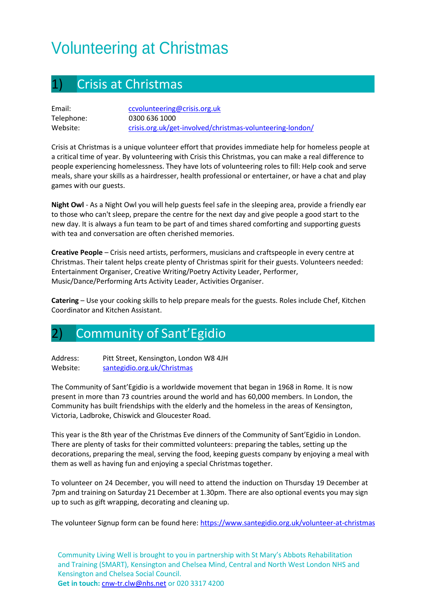# Volunteering at Christmas

| 1) |  | <b>Crisis at Christmas</b> |
|----|--|----------------------------|
|----|--|----------------------------|

| Email:     | ccvolunteering@crisis.org.uk                              |
|------------|-----------------------------------------------------------|
| Telephone: | 0300 636 1000                                             |
| Website:   | crisis.org.uk/get-involved/christmas-volunteering-london/ |

Crisis at Christmas is a unique volunteer effort that provides immediate help for homeless people at a critical time of year. By volunteering with Crisis this Christmas, you can make a real difference to people experiencing homelessness. They have lots of volunteering roles to fill: Help cook and serve meals, share your skills as a hairdresser, health professional or entertainer, or have a chat and play games with our guests.

**Night Owl** - As a Night Owl you will help guests feel safe in the sleeping area, provide a friendly ear to those who can't sleep, prepare the centre for the next day and give people a good start to the new day. It is always a fun team to be part of and times shared comforting and supporting guests with tea and conversation are often cherished memories.

**Creative People** – Crisis need artists, performers, musicians and craftspeople in every centre at Christmas. Their talent helps create plenty of Christmas spirit for their guests. Volunteers needed: Entertainment Organiser, Creative Writing/Poetry Activity Leader, Performer, Music/Dance/Performing Arts Activity Leader, Activities Organiser.

**Catering** – Use your cooking skills to help prepare meals for the guests. Roles include Chef, Kitchen Coordinator and Kitchen Assistant.

#### 2) Community of Sant'Egidio

Address: Pitt Street, Kensington, London W8 4JH Website: [santegidio.org.uk/Christmas](https://www.santegidio.org.uk/christmas)

The Community of Sant'Egidio is a worldwide movement that began in 1968 in Rome. It is now present in more than 73 countries around the world and has 60,000 members. In London, the Community has built friendships with the elderly and the homeless in the areas of Kensington, Victoria, Ladbroke, Chiswick and Gloucester Road.

This year is the 8th year of the Christmas Eve dinners of the Community of Sant'Egidio in London. There are plenty of tasks for their committed volunteers: preparing the tables, setting up the decorations, preparing the meal, serving the food, keeping guests company by enjoying a meal with them as well as having fun and enjoying a special Christmas together.

To volunteer on 24 December, you will need to attend the induction on Thursday 19 December at 7pm and training on Saturday 21 December at 1.30pm. There are also optional events you may sign up to such as gift wrapping, decorating and cleaning up.

The volunteer Signup form can be found here[: https://www.santegidio.org.uk/volunteer-at-christmas](https://www.santegidio.org.uk/volunteer-at-christmas)